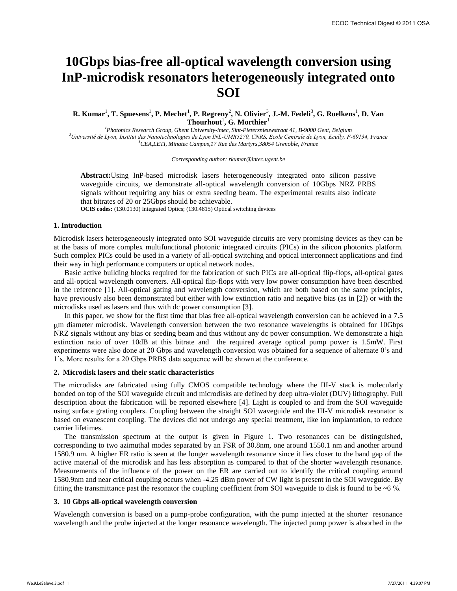# **10Gbps bias-free all-optical wavelength conversion using InP-microdisk resonators heterogeneously integrated onto SOI**

## **R. Kumar<sup>1</sup>, T. Spuesens<sup>1</sup>, P. Mechet<sup>1</sup>, P. Regreny<sup>2</sup>, N. Olivier<sup>3</sup>, J.-M. Fedeli<sup>3</sup>, G. Roelkens<sup>1</sup>, D. Van Thourhout**<sup>1</sup> **, G. Morthier**<sup>1</sup>

*<sup>1</sup>Photonics Research Group, Ghent University-imec, Sint-Pietersnieuwstraat 41, B-9000 Gent, Belgium <sup>2</sup>Université de Lyon, Institut des Nanotechnologies de Lyon INL-UMR5270, CNRS, Ecole Centrale de Lyon, Ecully, F-69134, France <sup>3</sup>CEA,LETI, Minatec Campus,17 Rue des Martyrs,38054 Grenoble, France* 

*Corresponding author: rkumar@intec.ugent.be* 

**Abstract:**Using InP-based microdisk lasers heterogeneously integrated onto silicon passive waveguide circuits, we demonstrate all-optical wavelength conversion of 10Gbps NRZ PRBS signals without requiring any bias or extra seeding beam. The experimental results also indicate that bitrates of 20 or 25Gbps should be achievable.

**OCIS codes:** (130.0130) Integrated Optics; (130.4815) Optical switching devices

## **1. Introduction**

Microdisk lasers heterogeneously integrated onto SOI waveguide circuits are very promising devices as they can be at the basis of more complex multifunctional photonic integrated circuits (PICs) in the silicon photonics platform. Such complex PICs could be used in a variety of all-optical switching and optical interconnect applications and find their way in high performance computers or optical network nodes.

Basic active building blocks required for the fabrication of such PICs are all-optical flip-flops, all-optical gates and all-optical wavelength converters. All-optical flip-flops with very low power consumption have been described in the reference [1]. All-optical gating and wavelength conversion, which are both based on the same principles, have previously also been demonstrated but either with low extinction ratio and negative bias (as in [2]) or with the microdisks used as lasers and thus with dc power consumption [3].

In this paper, we show for the first time that bias free all-optical wavelength conversion can be achieved in a 7.5 m diameter microdisk. Wavelength conversion between the two resonance wavelengths is obtained for 10Gbps NRZ signals without any bias or seeding beam and thus without any dc power consumption. We demonstrate a high extinction ratio of over 10dB at this bitrate and the required average optical pump power is 1.5mW. First experiments were also done at 20 Gbps and wavelength conversion was obtained for a sequence of alternate 0's and 1's. More results for a 20 Gbps PRBS data sequence will be shown at the conference.

### **2. Microdisk lasers and their static characteristics**

The microdisks are fabricated using fully CMOS compatible technology where the III-V stack is molecularly bonded on top of the SOI waveguide circuit and microdisks are defined by deep ultra-violet (DUV) lithography. Full description about the fabrication will be reported elsewhere [4]. Light is coupled to and from the SOI waveguide using surface grating couplers. Coupling between the straight SOI waveguide and the III-V microdisk resonator is based on evanescent coupling. The devices did not undergo any special treatment, like ion implantation, to reduce carrier lifetimes.

The transmission spectrum at the output is given in Figure 1. Two resonances can be distinguished, corresponding to two azimuthal modes separated by an FSR of 30.8nm, one around 1550.1 nm and another around 1580.9 nm. A higher ER ratio is seen at the longer wavelength resonance since it lies closer to the band gap of the active material of the microdisk and has less absorption as compared to that of the shorter wavelength resonance. Measurements of the influence of the power on the ER are carried out to identify the critical coupling around 1580.9nm and near critical coupling occurs when -4.25 dBm power of CW light is present in the SOI waveguide. By fitting the transmittance past the resonator the coupling coefficient from SOI waveguide to disk is found to be ~6 %.

#### **3. 10 Gbps all-optical wavelength conversion**

Wavelength conversion is based on a pump-probe configuration, with the pump injected at the shorter resonance wavelength and the probe injected at the longer resonance wavelength. The injected pump power is absorbed in the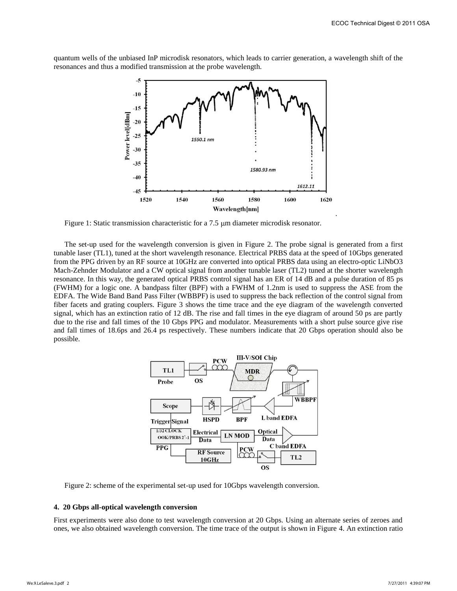quantum wells of the unbiased InP microdisk resonators, which leads to carrier generation, a wavelength shift of the resonances and thus a modified transmission at the probe wavelength.



Figure 1: Static transmission characteristic for a 7.5  $\mu$ m diameter microdisk resonator.

The set-up used for the wavelength conversion is given in Figure 2. The probe signal is generated from a first tunable laser (TL1), tuned at the short wavelength resonance. Electrical PRBS data at the speed of 10Gbps generated from the PPG driven by an RF source at 10GHz are converted into optical PRBS data using an electro-optic LiNbO3 Mach-Zehnder Modulator and a CW optical signal from another tunable laser (TL2) tuned at the shorter wavelength resonance. In this way, the generated optical PRBS control signal has an ER of 14 dB and a pulse duration of 85 ps (FWHM) for a logic one. A bandpass filter (BPF) with a FWHM of 1.2nm is used to suppress the ASE from the EDFA. The Wide Band Band Pass Filter (WBBPF) is used to suppress the back reflection of the control signal from fiber facets and grating couplers. Figure 3 shows the time trace and the eye diagram of the wavelength converted signal, which has an extinction ratio of 12 dB. The rise and fall times in the eye diagram of around 50 ps are partly due to the rise and fall times of the 10 Gbps PPG and modulator. Measurements with a short pulse source give rise and fall times of 18.6ps and 26.4 ps respectively. These numbers indicate that 20 Gbps operation should also be possible.



Figure 2: scheme of the experimental set-up used for 10Gbps wavelength conversion.

#### **4. 20 Gbps all-optical wavelength conversion**

First experiments were also done to test wavelength conversion at 20 Gbps. Using an alternate series of zeroes and ones, we also obtained wavelength conversion. The time trace of the output is shown in Figure 4. An extinction ratio